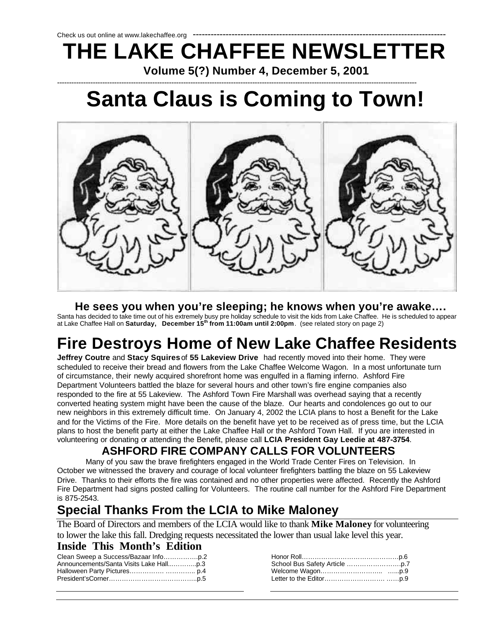### Check us out online at www.lakechaffee.org **THE LAKE CHAFFEE NEWSLETTER Volume 5(?) Number 4, December 5, 2001**

### -------------------------------------------------------------------------------------------------------------------------------------------------------  **Santa Claus is Coming to Town!**



#### **He sees you when you're sleeping; he knows when you're awake….**

Santa has decided to take time out of his extremely busy pre holiday schedule to visit the kids from Lake Chaffee. He is scheduled to appear<br>at Lake Chaffee Hall on **Saturday, December 15<sup>th</sup> from 11:00am until 2:00pm**. (s

## **Fire Destroys Home of New Lake Chaffee Residents**

**Jeffrey Coutre** and **Stacy Squires** of **55 Lakeview Drive** had recently moved into their home. They were scheduled to receive their bread and flowers from the Lake Chaffee Welcome Wagon. In a most unfortunate turn of circumstance, their newly acquired shorefront home was engulfed in a flaming inferno. Ashford Fire Department Volunteers battled the blaze for several hours and other town's fire engine companies also responded to the fire at 55 Lakeview. The Ashford Town Fire Marshall was overhead saying that a recently converted heating system might have been the cause of the blaze. Our hearts and condolences go out to our new neighbors in this extremely difficult time. On January 4, 2002 the LCIA plans to host a Benefit for the Lake and for the Victims of the Fire. More details on the benefit have yet to be received as of press time, but the LCIA plans to host the benefit party at either the Lake Chaffee Hall or the Ashford Town Hall. If you are interested in volunteering or donating or attending the Benefit, please call **LCIA President Gay Leedie at 487-3754**.

#### **ASHFORD FIRE COMPANY CALLS FOR VOLUNTEERS**

Many of you saw the brave firefighters engaged in the World Trade Center Fires on Television. In October we witnessed the bravery and courage of local volunteer firefighters battling the blaze on 55 Lakeview Drive. Thanks to their efforts the fire was contained and no other properties were affected. Recently the Ashford Fire Department had signs posted calling for Volunteers. The routine call number for the Ashford Fire Department is 875-2543.

### **Special Thanks From the LCIA to Mike Maloney**

The Board of Directors and members of the LCIA would like to thank **Mike Maloney** for volunteering to lower the lake this fall. Dredging requests necessitated the lower than usual lake level this year.

#### **Inside This Month's Edition**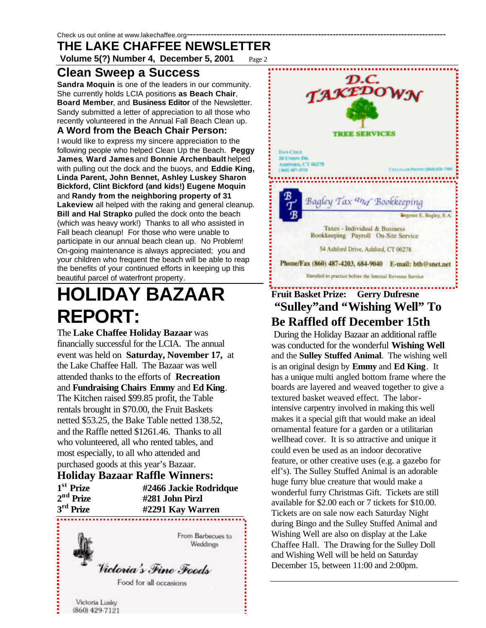**Volume 5(?) Number 4, December 5, 2001** Page 2

#### **Clean Sweep a Success**

**Sandra Moquin** is one of the leaders in our community. She currently holds LCIA positions **as Beach Chair**, **Board Member**, and **Business Editor** of the Newsletter. Sandy submitted a letter of appreciation to all those who recently volunteered in the Annual Fall Beach Clean up.

#### **A Word from the Beach Chair Person:**

I would like to express my sincere appreciation to the following people who helped Clean Up the Beach. **Peggy James**, **Ward James** and **Bonnie Archenbault** helped with pulling out the dock and the buoys, and **Eddie King, Linda Parent, John Bennet, Ashley Luskey Sharon Bickford, Clint Bickford (and kids!) Eugene Moquin** and **Randy from the neighboring property of 31 Lakeview** all helped with the raking and general cleanup. **Bill and Hal Strapko** pulled the dock onto the beach (which was heavy work!) Thanks to all who assisted in Fall beach cleanup! For those who were unable to participate in our annual beach clean up. No Problem! On-going maintenance is always appreciated; you and your children who frequent the beach will be able to reap the benefits of your continued efforts in keeping up this beautiful parcel of waterfront property.

# **HOLIDAY BAZAAR REPORT:**

The **Lake Chaffee Holiday Bazaar** was financially successful for the LCIA. The annual event was held on **Saturday, November 17,** at the Lake Chaffee Hall. The Bazaar was well attended thanks to the efforts of **Recreation** and **Fundraising Chairs Emmy** and **Ed King**. The Kitchen raised \$99.85 profit, the Table rentals brought in \$70.00, the Fruit Baskets netted \$53.25, the Bake Table netted 138.52, and the Raffle netted \$1261.46. Thanks to all who volunteered, all who rented tables, and most especially, to all who attended and purchased goods at this year's Bazaar.

|                       | <b>Holiday Bazaar Raffle Winners:</b> |
|-----------------------|---------------------------------------|
| 1 <sup>st</sup> Prize | #2466 Jackie Rodridque                |
| $2nd$ Prize           | #281 John Pirzl                       |
| $3rd$ Prize           | #2291 Kay Warren                      |
|                       |                                       |





### **Fruit Basket Prize: Gerry Dufresne "Sulley"and "Wishing Well" To Be Raffled off December 15th**

 During the Holiday Bazaar an additional raffle was conducted for the wonderful **Wishing Well** and the **Sulley Stuffed Animal**. The wishing well is an original design by **Emmy** and **Ed King**. It has a unique multi angled bottom frame where the boards are layered and weaved together to give a textured basket weaved effect. The laborintensive carpentry involved in making this well makes it a special gift that would make an ideal ornamental feature for a garden or a utilitarian wellhead cover. It is so attractive and unique it could even be used as an indoor decorative feature, or other creative uses (e.g. a gazebo for elf's). The Sulley Stuffed Animal is an adorable huge furry blue creature that would make a wonderful furry Christmas Gift. Tickets are still available for \$2.00 each or 7 tickets for \$10.00. Tickets are on sale now each Saturday Night during Bingo and the Sulley Stuffed Animal and Wishing Well are also on display at the Lake Chaffee Hall. The Drawing for the Sulley Doll and Wishing Well will be held on Saturday December 15, between 11:00 and 2:00pm.

Victoria Lusky (860) 429-7121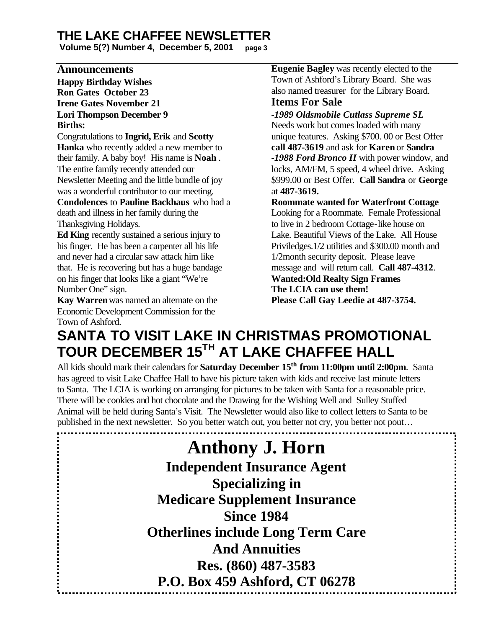**Volume 5(?) Number 4, December 5, 2001 page 3**

#### **Announcements**

**Happy Birthday Wishes Ron Gates October 23 Irene Gates November 21 Lori Thompson December 9 Births:**

Congratulations to **Ingrid, Erik** and **Scotty Hanka** who recently added a new member to their family. A baby boy! His name is **Noah** . The entire family recently attended our Newsletter Meeting and the little bundle of joy was a wonderful contributor to our meeting.

**Condolences** to **Pauline Backhaus** who had a death and illness in her family during the Thanksgiving Holidays.

**Ed King** recently sustained a serious injury to his finger. He has been a carpenter all his life and never had a circular saw attack him like that. He is recovering but has a huge bandage on his finger that looks like a giant "We're Number One" sign.

**Kay Warren** was named an alternate on the Economic Development Commission for the Town of Ashford.

**Eugenie Bagley** was recently elected to the Town of Ashford's Library Board. She was also named treasurer for the Library Board.

#### **Items For Sale**

*-1989 Oldsmobile Cutlass Supreme SL* Needs work but comes loaded with many unique features. Asking \$700. 00 or Best Offer **call 487-3619** and ask for **Karen** or **Sandra** *-1988 Ford Bronco II* with power window, and locks, AM/FM, 5 speed, 4 wheel drive. Asking \$999.00 or Best Offer. **Call Sandra** or **George** at **487-3619.**

**Roommate wanted for Waterfront Cottage**

Looking for a Roommate. Female Professional to live in 2 bedroom Cottage-like house on Lake. Beautiful Views of the Lake. All House Priviledges.1/2 utilities and \$300.00 month and 1/2month security deposit. Please leave message and will return call. **Call 487-4312**. **Wanted:Old Realty Sign Frames The LCIA can use them! Please Call Gay Leedie at 487-3754.**

### **SANTA TO VISIT LAKE IN CHRISTMAS PROMOTIONAL TOUR DECEMBER 15TH AT LAKE CHAFFEE HALL**

All kids should mark their calendars for **Saturday December 15th from 11:00pm until 2:00pm**. Santa has agreed to visit Lake Chaffee Hall to have his picture taken with kids and receive last minute letters to Santa. The LCIA is working on arranging for pictures to be taken with Santa for a reasonable price. There will be cookies and hot chocolate and the Drawing for the Wishing Well and Sulley Stuffed Animal will be held during Santa's Visit. The Newsletter would also like to collect letters to Santa to be published in the next newsletter. So you better watch out, you better not cry, you better not pout…

> **Anthony J. Horn Independent Insurance Agent Specializing in Medicare Supplement Insurance Since 1984 Otherlines include Long Term Care And Annuities Res. (860) 487-3583 P.O. Box 459 Ashford, CT 06278**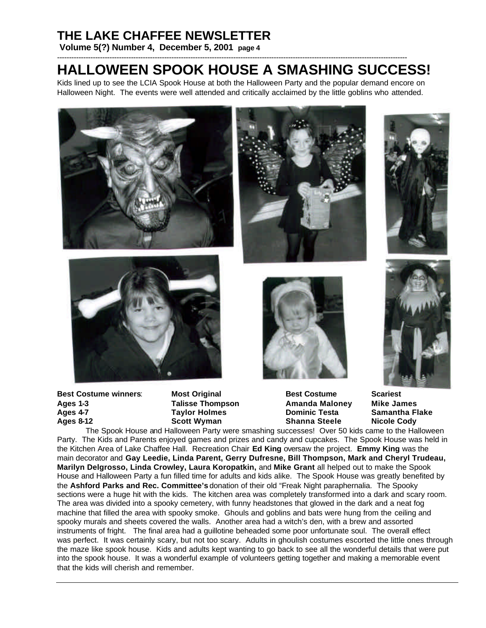**Volume 5(?) Number 4, December 5, 2001 page 4**

#### --------------------------------------------------------------------------------------------------------------------------------------------------- **HALLOWEEN SPOOK HOUSE A SMASHING SUCCESS!**

Kids lined up to see the LCIA Spook House at both the Halloween Party and the popular demand encore on Halloween Night. The events were well attended and critically acclaimed by the little goblins who attended.









**Best Costume winners**: **Most Original Best Costume Scariest Ages 1-3 Talisse Thompson Amanda Maloney Mike James Ages 4-7 Taylor Holmes Dominic Testa Samantha Flake Ages 8-12 Scott Wyman Shanna Steele Nicole Cody**





The Spook House and Halloween Party were smashing successes! Over 50 kids came to the Halloween Party. The Kids and Parents enjoyed games and prizes and candy and cupcakes. The Spook House was held in the Kitchen Area of Lake Chaffee Hall. Recreation Chair **Ed King** oversaw the project. **Emmy King** was the main decorator and **Gay Leedie, Linda Parent, Gerry Dufresne, Bill Thompson, Mark and Cheryl Trudeau, Marilyn Delgrosso, Linda Crowley, Laura Koropatkin,** and **Mike Grant** all helped out to make the Spook House and Halloween Party a fun filled time for adults and kids alike. The Spook House was greatly benefited by the **Ashford Parks and Rec. Committee's** donation of their old "Freak Night paraphernalia. The Spooky sections were a huge hit with the kids. The kitchen area was completely transformed into a dark and scary room. The area was divided into a spooky cemetery, with funny headstones that glowed in the dark and a neat fog machine that filled the area with spooky smoke. Ghouls and goblins and bats were hung from the ceiling and spooky murals and sheets covered the walls. Another area had a witch's den, with a brew and assorted instruments of fright. The final area had a guillotine beheaded some poor unfortunate soul. The overall effect was perfect. It was certainly scary, but not too scary. Adults in ghoulish costumes escorted the little ones through the maze like spook house. Kids and adults kept wanting to go back to see all the wonderful details that were put into the spook house. It was a wonderful example of volunteers getting together and making a memorable event that the kids will cherish and remember.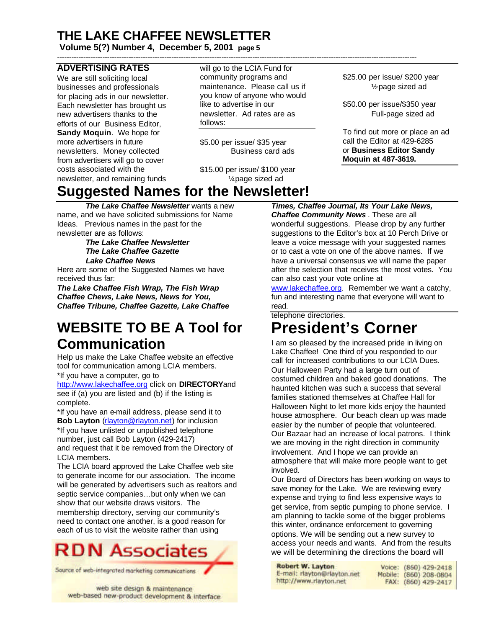**Volume 5(?) Number 4, December 5, 2001 page 5**

#### **ADVERTISING RATES**

We are still soliciting local businesses and professionals for placing ads in our newsletter. Each newsletter has brought us new advertisers thanks to the efforts of our Business Editor, **Sandy Moquin**. We hope for more advertisers in future newsletters. Money collected from advertisers will go to cover costs associated with the newsletter, and remaining funds

will go to the LCIA Fund for community programs and maintenance. Please call us if you know of anyone who would like to advertise in our newsletter. Ad rates are as follows:

-------------------------------------------------------------------------------------------------------------------------------------------------------

\$5.00 per issue/ \$35 year Business card ads

\$15.00 per issue/ \$100 year ¼ page sized ad

\$25.00 per issue/ \$200 year ½ page sized ad

\$50.00 per issue/\$350 year Full-page sized ad

To find out more or place an ad call the Editor at 429-6285 or **Business Editor Sandy Moquin at 487-3619.**

### **Suggested Names for the Newsletter!**

*The Lake Chaffee Newsletter* wants a new name, and we have solicited submissions for Name Ideas. Previous names in the past for the newsletter are as follows:

*The Lake Chaffee Newsletter The Lake Chaffee Gazette Lake Chaffee News*

Here are some of the Suggested Names we have received thus far:

*The Lake Chaffee Fish Wrap, The Fish Wrap Chaffee Chews, Lake News, News for You, Chaffee Tribune, Chaffee Gazette, Lake Chaffee* 

### **WEBSITE TO BE A Tool for Communication**

Help us make the Lake Chaffee website an effective tool for communication among LCIA members. \*If you have a computer, go to

http://www.lakechaffee.org click on **DIRECTORY**and see if (a) you are listed and (b) if the listing is complete.

\*If you have an e-mail address, please send it to **Bob Layton** (rlayton@rlayton.net) for inclusion \*If you have unlisted or unpublished telephone number, just call Bob Layton (429-2417) and request that it be removed from the Directory of LCIA members.

The LCIA board approved the Lake Chaffee web site to generate income for our association. The income will be generated by advertisers such as realtors and septic service companies…but only when we can show that our website draws visitors. The membership directory, serving our community's need to contact one another, is a good reason for each of us to visit the website rather than using



Source of web-integrated marketing communications

web site design & maintenance web-based new-product development & interface

*Times, Chaffee Journal, Its Your Lake News, Chaffee Community News* . These are all wonderful suggestions. Please drop by any further suggestions to the Editor's box at 10 Perch Drive or leave a voice message with your suggested names or to cast a vote on one of the above names. If we have a universal consensus we will name the paper after the selection that receives the most votes. You can also cast your vote online at

www.lakechaffee.org. Remember we want a catchy, fun and interesting name that everyone will want to read.

telephone directories.

### **President's Corner**

I am so pleased by the increased pride in living on Lake Chaffee! One third of you responded to our call for increased contributions to our LCIA Dues. Our Halloween Party had a large turn out of costumed children and baked good donations. The haunted kitchen was such a success that several families stationed themselves at Chaffee Hall for Halloween Night to let more kids enjoy the haunted house atmosphere. Our beach clean up was made easier by the number of people that volunteered. Our Bazaar had an increase of local patrons. I think we are moving in the right direction in community involvement. And I hope we can provide an atmosphere that will make more people want to get involved.

Our Board of Directors has been working on ways to save money for the Lake. We are reviewing every expense and trying to find less expensive ways to get service, from septic pumping to phone service. I am planning to tackle some of the bigger problems this winter, ordinance enforcement to governing options. We will be sending out a new survey to access your needs and wants. And from the results we will be determining the directions the board will

| Robert W. Layton            |  | Voice: (860) 429-2418  |
|-----------------------------|--|------------------------|
| E-mail: rlayton@rlayton.net |  | Mobile: (860) 208-0804 |
| http://www.rlayton.net      |  | FAX: (860) 429-2417    |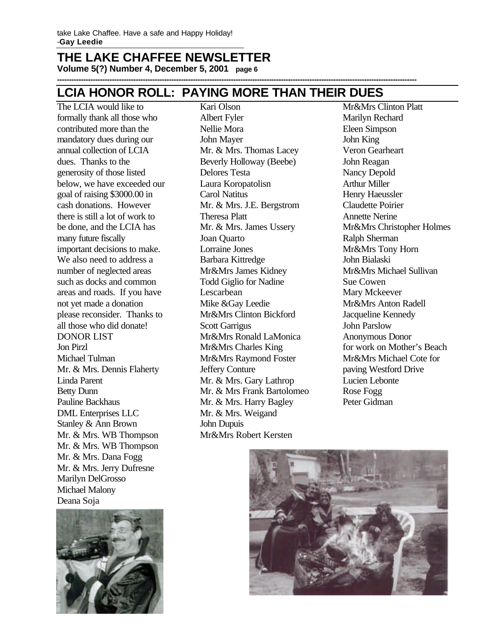**Volume 5(?) Number 4, December 5, 2001 page 6 -------------------------------------------------------------------------------------------------------------------------------------------------------**

#### **LCIA HONOR ROLL: PAYING MORE THAN THEIR DUES**

The LCIA would like to formally thank all those who contributed more than the mandatory dues during our annual collection of LCIA dues. Thanks to the generosity of those listed below, we have exceeded our goal of raising \$3000.00 in cash donations. However there is still a lot of work to be done, and the LCIA has many future fiscally important decisions to make. We also need to address a number of neglected areas such as docks and common areas and roads. If you have not yet made a donation please reconsider. Thanks to all those who did donate! DONOR LIST Jon Pirzl Michael Tulman Mr. & Mrs. Dennis Flaherty Linda Parent Betty Dunn Pauline Backhaus DML Enterprises LLC Stanley & Ann Brown Mr. & Mrs. WB Thompson Mr. & Mrs. WB Thompson Mr. & Mrs. Dana Fogg Mr. & Mrs. Jerry Dufresne Marilyn DelGrosso Michael Malony Deana Soja



Kari Olson Albert Fyler Nellie Mora John Mayer Mr. & Mrs. Thomas Lacey Beverly Holloway (Beebe) Delores Testa Laura Koropatolisn Carol Natitus Mr. & Mrs. J.E. Bergstrom Theresa Platt Mr. & Mrs. James Ussery Joan Quarto Lorraine Jones Barbara Kittredge Mr&Mrs James Kidney Todd Giglio for Nadine Lescarbean Mike &Gay Leedie Mr&Mrs Clinton Bickford Scott Garrigus Mr&Mrs Ronald LaMonica Mr&Mrs Charles King Mr&Mrs Raymond Foster Jeffery Conture Mr. & Mrs. Gary Lathrop Mr. & Mrs Frank Bartolomeo Mr. & Mrs. Harry Bagley Mr. & Mrs. Weigand John Dupuis Mr&Mrs Robert Kersten

Mr&Mrs Clinton Platt Marilyn Rechard Eleen Simpson John King Veron Gearheart John Reagan Nancy Depold Arthur Miller Henry Haeussler Claudette Poirier Annette Nerine Mr&Mrs Christopher Holmes Ralph Sherman Mr&Mrs Tony Horn John Bialaski Mr&Mrs Michael Sullivan Sue Cowen Mary Mckeever Mr&Mrs Anton Radell Jacqueline Kennedy John Parslow Anonymous Donor for work on Mother's Beach Mr&Mrs Michael Cote for paving Westford Drive Lucien Lebonte Rose Fogg Peter Gidman

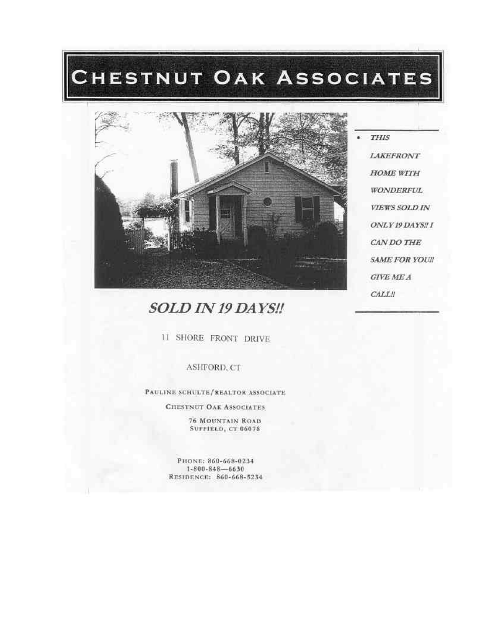# CHESTNUT OAK ASSOCIATES



**LAKEFRONT HOME WITH WONDERFUL VIEWS SOLD IN** ONLY 19 DAYS!! I CAN DO THE **SAME FOR YOU!! GIVE ME A CALL!!** 

**THIS** 

### SOLD IN 19 DAYS !!

11 SHORE FRONT DRIVE

#### ASHFORD, CT

PAULINE SCHULTE/REALTOR ASSOCIATE

**CHESTNUT OAK ASSOCIATES** 

**76 MOUNTAIN ROAD SUFFIELD, CT 06078** 

PHONE: 860-668-0234  $1 - 800 - 848 - 6630$ RESIDENCE: 860-668-5234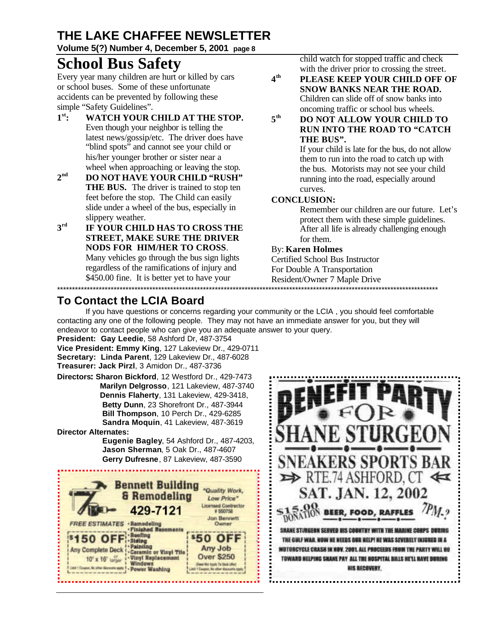#### **Volume 5(?) Number 4, December 5, 2001 page 8**

### **School Bus Safety**

Every year many children are hurt or killed by cars or school buses. Some of these unfortunate accidents can be prevented by following these simple "Safety Guidelines".

- $1^{\text{st}}$ : **st: WATCH YOUR CHILD AT THE STOP.**  Even though your neighbor is telling the latest news/gossip/etc. The driver does have "blind spots" and cannot see your child or his/her younger brother or sister near a wheel when approaching or leaving the stop.
- 2<sup>nd</sup> **nd DO NOT HAVE YOUR CHILD "RUSH" THE BUS.** The driver is trained to stop ten feet before the stop. The Child can easily slide under a wheel of the bus, especially in slippery weather.
- 3rd **rd IF YOUR CHILD HAS TO CROSS THE STREET, MAKE SURE THE DRIVER NODS FOR HIM/HER TO CROSS**. Many vehicles go through the bus sign lights regardless of the ramifications of injury and \$450.00 fine. It is better yet to have your

child watch for stopped traffic and check with the driver prior to crossing the street.

- **4 th PLEASE KEEP YOUR CHILD OFF OF SNOW BANKS NEAR THE ROAD.** Children can slide off of snow banks into oncoming traffic or school bus wheels.
- **5 th DO NOT ALLOW YOUR CHILD TO RUN INTO THE ROAD TO "CATCH THE BUS".**

If your child is late for the bus, do not allow them to run into the road to catch up with the bus. Motorists may not see your child running into the road, especially around curves.

#### **CONCLUSION:**

Remember our children are our future. Let's protect them with these simple guidelines. After all life is already challenging enough for them.

#### By: **Karen Holmes**

Certified School Bus Instructor For Double A Transportation Resident/Owner 7 Maple Drive

#### \*\*\*\*\*\*\*\*\*\*\*\*\*\*\*\*\*\*\*\*\*\*\*\*\*\*\*\*\*\*\*\*\*\*\*\*\*\*\*\*\*\*\*\*\*\*\*\*\*\*\*\*\*\*\*\*\*\*\*\*\*\*\*\*\*\*\*\*\*\*\*\*\*\*\*\*\*\*\*\*\*\*\*\*\*\*\*\*\*\*\*\*\*\*\*\*\*\*\*\*\*\*\*\*\*\*\*\*\*\*\*\*\*\*\*\*\*\*\*\*\*\*\*\*\*\*\*\* **To Contact the LCIA Board**

If you have questions or concerns regarding your community or the LCIA , you should feel comfortable contacting any one of the following people. They may not have an immediate answer for you, but they will endeavor to contact people who can give you an adequate answer to your query.

**President: Gay Leedie**, 58 Ashford Dr, 487-3754 **Vice President: Emmy King**, 127 Lakeview Dr., 429-0711

**Secretary: Linda Parent**, 129 Lakeview Dr., 487-6028 **Treasurer: Jack Pirzl**, 3 Amidon Dr., 487-3736

**Directors: Sharon Bickford**, 12 Westford Dr., 429-7473 **Marilyn Delgrosso**, 121 Lakeview, 487-3740 **Dennis Flaherty**, 131 Lakeview, 429-3418, **Betty Dunn**, 23 Shorefront Dr., 487-3944 **Bill Thompson**, 10 Perch Dr., 429-6285 **Sandra Moquin**, 41 Lakeview, 487-3619

**Director Alternates:**

 **Eugenie Bagley**, 54 Ashford Dr., 487-4203, **Jason Sherman**, 5 Oak Dr., 487-4607 **Gerry Dufresne**, 87 Lakeview, 487-3590



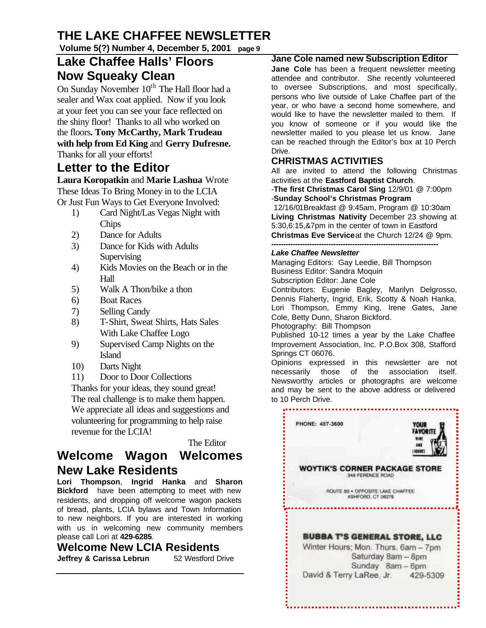**Volume 5(?) Number 4, December 5, 2001 page 9**

### **Lake Chaffee Halls' Floors Now Squeaky Clean**

On Sunday November 10<sup>th</sup> The Hall floor had a sealer and Wax coat applied. Now if you look at your feet you can see your face reflected on the shiny floor! Thanks to all who worked on the floors**. Tony McCarthy, Mark Trudeau with help from Ed King** and **Gerry Dufresne.**  Thanks for all your efforts!

#### **Letter to the Editor**

**Laura Koropatkin** and **Marie Lashua** Wrote These Ideas To Bring Money in to the LCIA Or Just Fun Ways to Get Everyone Involved:

- 1) Card Night/Las Vegas Night with **Chips**
- 2) Dance for Adults
- 3) Dance for Kids with Adults **Supervising**
- 4) Kids Movies on the Beach or in the Hall
- 5) Walk A Thon/bike a thon
- 6) Boat Races
- 7) Selling Candy
- 8) T-Shirt, Sweat Shirts, Hats Sales With Lake Chaffee Logo
- 9) Supervised Camp Nights on the Island
- 10) Darts Night
- 11) Door to Door Collections

Thanks for your ideas, they sound great! The real challenge is to make them happen. We appreciate all ideas and suggestions and volunteering for programming to help raise revenue for the LCIA!

The Editor

#### **Welcome Wagon Welcomes New Lake Residents**

**Lori Thompson**, **Ingrid Hanka** and **Sharon Bickford** have been attempting to meet with new residents, and dropping off welcome wagon packets of bread, plants, LCIA bylaws and Town Information to new neighbors. If you are interested in working with us in welcoming new community members please call Lori at **429-6285**.

**Welcome New LCIA Residents Jeffrey & Carissa Lebrun** 52 Westford Drive

#### **Jane Cole named new Subscription Editor**

**Jane Cole** has been a frequent newsletter meeting attendee and contributor. She recently volunteered to oversee Subscriptions, and most specifically, persons who live outside of Lake Chaffee part of the year, or who have a second home somewhere, and would like to have the newsletter mailed to them. If you know of someone or if you would like the newsletter mailed to you please let us know. Jane can be reached through the Editor's box at 10 Perch Drive.

#### **CHRISTMAS ACTIVITIES**

All are invited to attend the following Christmas activities at the **Eastford Baptist Church**.

-**The first Christmas Carol Sing** 12/9/01 @ 7:00pm -**Sunday School's Christmas Program**

 12/16/01Breakfast @ 9:45am, Program @ 10:30am **Living Christmas Nativity** December 23 showing at 5:30,6:15,&7pm in the center of town in Eastford **Christmas Eve Service**at the Church 12/24 @ 9pm.

#### *---------------------------------------------------------------------- Lake Chaffee Newsletter*

Managing Editors: Gay Leedie, Bill Thompson Business Editor: Sandra Moquin Subscription Editor: Jane Cole

Contributors: Eugenie Bagley, Marilyn Delgrosso, Dennis Flaherty, Ingrid, Erik, Scotty & Noah Hanka, Lori Thompson, Emmy King, Irene Gates, Jane Cole, Betty Dunn, Sharon Bickford.

Photography: Bill Thompson

Published 10-12 times a year by the Lake Chaffee Improvement Association, Inc. P.O.Box 308, Stafford Springs CT 06076.

Opinions expressed in this newsletter are not necessarily those of the association itself. Newsworthy articles or photographs are welcome and may be sent to the above address or delivered to 10 Perch Drive.

> PHONE: 487-3600 YOUR **FAVORITE** Viki ш 1100001 **WOYTIK'S CORNER PACKAGE STORE** 348 FERENCE ROAD ROUTE 89 . OPPOSITE LAKE CHAFFEE ASHFORD, CT 06278 . . . . . . . . . . . . . . . . . **BUBBA T'S GENERAL STORE, LLC** Winter Hours; Mon. Thurs. 6am - 7pm Saturday 8am - 8pm Sunday 8am - 6pm David & Terry LaRee, Jr. 429-5309